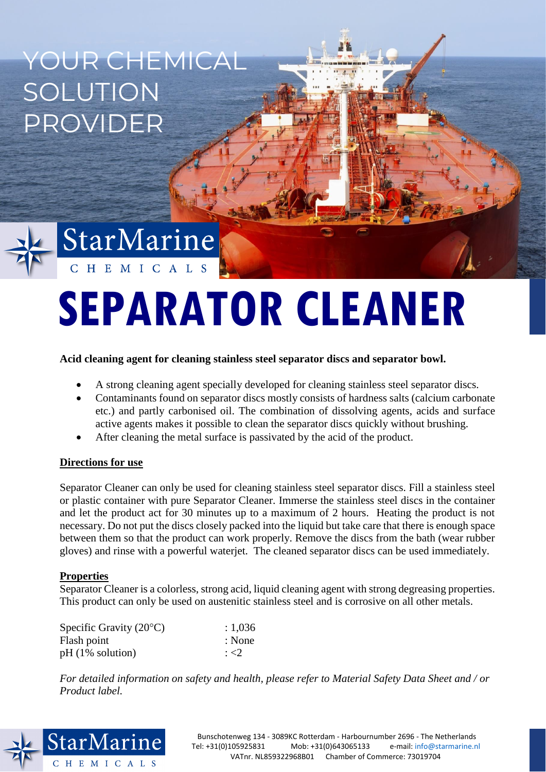YOUR CHEMICAL SOLUTION PROVIDER



# StarMarine CHEMICALS

# **SEPARATOR CLEANER**

## **Acid cleaning agent for cleaning stainless steel separator discs and separator bowl.**

- A strong cleaning agent specially developed for cleaning stainless steel separator discs.
- Contaminants found on separator discs mostly consists of hardness salts (calcium carbonate etc.) and partly carbonised oil. The combination of dissolving agents, acids and surface active agents makes it possible to clean the separator discs quickly without brushing.
- After cleaning the metal surface is passivated by the acid of the product.

### **Directions for use**

Separator Cleaner can only be used for cleaning stainless steel separator discs. Fill a stainless steel or plastic container with pure Separator Cleaner. Immerse the stainless steel discs in the container and let the product act for 30 minutes up to a maximum of 2 hours. Heating the product is not necessary. Do not put the discs closely packed into the liquid but take care that there is enough space between them so that the product can work properly. Remove the discs from the bath (wear rubber gloves) and rinse with a powerful waterjet. The cleaned separator discs can be used immediately.

### **Properties**

Separator Cleaner is a colorless, strong acid, liquid cleaning agent with strong degreasing properties. This product can only be used on austenitic stainless steel and is corrosive on all other metals.

| Specific Gravity $(20^{\circ}C)$ | : 1,036   |
|----------------------------------|-----------|
| Flash point                      | : None    |
| $pH(1\%$ solution)               | $\div$ <2 |

*For detailed information on safety and health, please refer to Material Safety Data Sheet and / or Product label.*